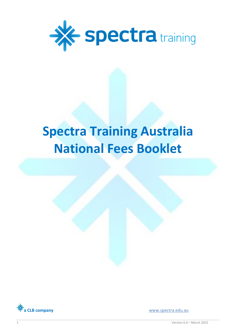

# **Spectra Training Australia National Fees Booklet**



**a CLB company** [www.spectra.edu.au](http://www.spectra.edu.au/)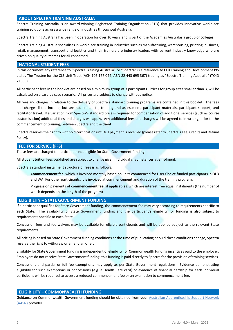## **ABOUT SPECTRA TRAINING AUSTRALIA**

Spectra Training Australia is an award-winning Registered Training Organisation (RTO) that provides innovative workplace training solutions across a wide range of industries throughout Australia.

Spectra Training Australia has been in operation for over 10 years and is part of the Academies Australasia group of colleges.

Spectra Training Australia specialises in workplace training in industries such as manufacturing, warehousing, printing, business, retail, management, transport and logistics and their trainers are industry leaders with current industry knowledge who are driven on quality outcomes for all concerned.

#### **NATIONAL STUDENT FEES**

In this document any reference to "Spectra Training Australia" or "Spectra" is a reference to CLB Training and Development Pty Ltd as The Trustee for the CLB Unit Trust (ACN 105 177 044, ABN 82 443 695 367) trading as "Spectra Training Australia" (TOID 21356).

All participant fees in the booklet are based on a minimum group of 3 participants. Prices for group sizes smaller than 3, will be calculated on a case by case scenario. All prices are subject to change without notice.

All fees and charges in relation to the delivery of Spectra's standard training programs are contained in this booklet. The fees and charges listed include, but are not limited to, training and assessment, participant materials, participant support, and facilitator travel. If a variation from Spectra's standard price is required for compensation of additional services (such as course customisation) additional fees and charges will apply. Any additional fees and charges will be agreed to in writing, prior to the commencement of training, between Spectra and the client.

Spectra reserves the right to withhold certification until full payment is received (please refer to Spectra's Fee, Credits and Refund Policy).

## **FEE FOR SERVICE (FFS)**

These fees are charged to participants not eligible for State Government funding.

All student tuition fees published are subject to change given individual circumstances at enrolment.

Spectra's standard instalment structure of fees is as follows:

**Commencement fee**, which is invoiced monthly based on units commenced for User Choice funded participants in QLD and WA. For other participants, it is invoiced at commencement and duration of the training program.

Progression payments **of commencement fee (if applicable)**, which are interest free equal instalments (the number of which depends on the length of the program)

### **ELIGIBILITY – STATE GOVERNMENT FUNDING**

If a participant qualifies for State Government funding, the commencement fee may vary according to requirements specific to each State. The availability of State Government funding and the participant's eligibility for funding is also subject to requirements specific to each State.

Concession fees and fee waivers may be available for eligible participants and will be applied subject to the relevant State requirements.

All pricing is based on State Government funding conditions at the time of publication; should these conditions change, Spectra reserve the right to withdraw or amend an offer.

Eligibility for State Government funding is independent of eligibility for Commonwealth funding incentives paid to the employer. Employers do not receive State Government funding; this funding is paid directly to Spectra for the provision of training services.

Concessions and partial or full fee exemptions may apply as per State Government regulations. Evidence demonstrating eligibility for such exemptions or concessions (e.g. a Health Care card) or evidence of financial hardship for each individual participant will be required to access a reduced commencement fee or an exemption to commencement fee.

### **ELIGIBILITY – COMMONWEALTH FUNDING**

Guidance on Commonwealth Government funding should be obtained from your Australian Apprenticeship Support Network [\(AASN\)](https://www.australianapprenticeships.gov.au/find-my-aasn-by-region) provider.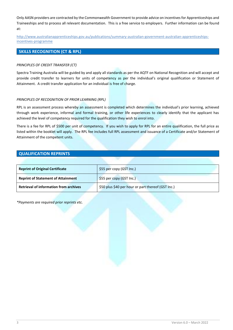Only AASN providers are contracted by the Commonwealth Government to provide advice on incentives for Apprenticeships and Traineeships and to process all relevant documentation. This is a free service to employers. Further information can be found at:

[http://www.australianapprenticeships.gov.au/publications/summary-australian-government-australian-apprenticeships](http://www.australianapprenticeships.gov.au/publications/summary-australian-government-australian-apprenticeships-incentives-programme)[incentives-programme](http://www.australianapprenticeships.gov.au/publications/summary-australian-government-australian-apprenticeships-incentives-programme)

## **SKILLS RECOGNITION (CT & RPL)**

#### *PRINCIPLES OF CREDIT TRANSFER (CT)*

Spectra Training Australia will be guided by and apply all standards as per the AQTF on National Recognition and will accept and provide credit transfer to learners for units of competency as per the individual's original qualification or Statement of Attainment. A credit transfer application for an individual is free of charge.

#### *PRINCIPLES OF RECOGNITION OF PRIOR LEARNING (RPL)*

RPL is an assessment process whereby an assessment is completed which determines the individual's prior learning, achieved through work experience, informal and formal training, or other life experiences to clearly identify that the applicant has achieved the level of competency required for the qualification they wish to enrol into.

There is a fee for RPL of \$500 per unit of competency. If you wish to apply for RPL for an entire qualification, the full price as listed within the booklet will apply. The RPL fee includes full RPL assessment and issuance of a Certificate and/or Statement of Attainment of the competent units.

### **QUALIFICATION REPRINTS**

| <b>Reprint of Original Certificate</b>        | \$55 per copy (GST Inc.)                           |
|-----------------------------------------------|----------------------------------------------------|
| <b>Reprint of Statement of Attainment</b>     | \$55 per copy (GST Inc.)                           |
| <b>Retrieval of information from archives</b> | \$50 plus \$40 per hour or part thereof (GST Inc.) |

*\*Payments are required prior reprints etc.*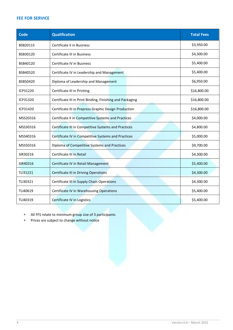# **FEE FOR SERVICE**

| Code     | <b>Qualification</b>                                      | <b>Total Fees</b> |
|----------|-----------------------------------------------------------|-------------------|
| BSB20115 | Certificate II in Business                                | \$3,950.00        |
| BSB30120 | Certificate III in Business                               | \$4,300.00        |
| BSB40120 | <b>Certificate IV in Business</b>                         | \$5,400.00        |
| BSB40520 | Certificate IV in Leadership and Management               | \$5,400.00        |
| BSB50420 | Diploma of Leadership and Management                      | \$6,950.00        |
| ICP31220 | Certificate III in Printing                               | \$16,800.00       |
| ICP31320 | Certificate III in Print Binding, Finishing and Packaging | \$16,800.00       |
| ICP31420 | Certificate III in Prepress Graphic Design Production     | \$16,800.00       |
| MSS20316 | Certificate II in Competitive Systems and Practices       | \$4,000.00        |
| MSS30316 | Certificate III in Competitive Systems and Practices      | \$4,800.00        |
| MSS40316 | Certificate IV in Competitive Systems and Practices       | \$5,000.00        |
| MSS50316 | Diploma of Competitive Systems and Practices              | \$9,700.00        |
| SIR30216 | Certificate III in Retail                                 | \$4,300.00        |
| SIR40316 | Certificate IV in Retail Management                       | \$5,400.00        |
| TLI31221 | <b>Certificate III in Driving Operations</b>              | \$4,300.00        |
| TLI30321 | Certificate III in Supply Chain Operations                | \$4,300.00        |
| TLI40619 | <b>Certificate IV in Warehousing Operations</b>           | \$5,400.00        |
| TLI40319 | Certificate IV in Logistics                               | \$5,400.00        |

All FFS relate to minimum group size of 3 participants

Prices are subject to change without notice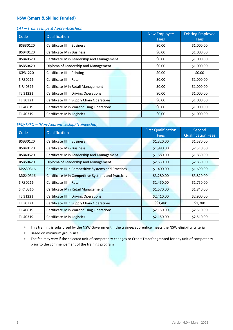# **NSW (Smart & Skilled Funded)**

## *EAT – Traineeships & Apprenticeships*

| Code     | Qualification                               | New Employee<br><b>Fees</b> | <b>Existing Employee</b><br><b>Fees</b> |
|----------|---------------------------------------------|-----------------------------|-----------------------------------------|
| BSB30120 | Certificate III in Business                 | \$0.00                      | \$1,000.00                              |
| BSB40120 | Certificate IV in Business                  | \$0.00                      | \$1,000.00                              |
| BSB40520 | Certificate IV in Leadership and Management | \$0.00                      | \$1,000.00                              |
| BSB50420 | Diploma of Leadership and Management        | \$0.00                      | \$1,000.00                              |
| ICP31220 | Certificate III in Printing                 | \$0.00                      | \$0.00                                  |
| SIR30216 | Certificate III in Retail                   | \$0.00                      | \$1,000.00                              |
| SIR40316 | Certificate IV in Retail Management         | \$0.00                      | \$1,000.00                              |
| TLI31221 | Certificate III in Driving Operations       | \$0.00                      | \$1,000.00                              |
| TLI30321 | Certificate III in Supply Chain Operations  | \$0.00                      | \$1,000.00                              |
| TLI40619 | Certificate IV in Warehousing Operations    | \$0.00                      | \$1,000.00                              |
| TLI40319 | Certificate IV in Logistics                 | \$0.00                      | \$1,000.00                              |

## *EFQ/TPFQ – (Non-Apprenticeship/Traineeship)*

| Code     | Qualification                                        | <b>First Qualification</b><br><b>Fees</b> | Second<br><b>Qualification Fees</b> |
|----------|------------------------------------------------------|-------------------------------------------|-------------------------------------|
| BSB30120 | <b>Certificate III in Business</b>                   | \$1,320.00                                | \$1,580.00                          |
| BSB40120 | <b>Certificate IV in Business</b>                    | \$1,980.00                                | \$2,310.00                          |
| BSB40520 | Certificate IV in Leadership and Management          | \$1,580.00                                | \$1,850.00                          |
| BSB50420 | Diploma of Leadership and Management                 | \$2,530.00                                | \$2,850.00                          |
| MSS30316 | Certificate III in Competitive Systems and Practices | \$1,400.00                                | \$1,690.00                          |
| MSS40316 | Certificate IV in Competitive Systems and Practices  | \$3,280.00                                | \$3,820.00                          |
| SIR30216 | Certificate III in Retail                            | \$1,450.00                                | \$1,750.00                          |
| SIR40316 | Certificate IV in Retail Management                  | \$1,570.00                                | \$1,840.00                          |
| TLI31221 | <b>Certificate III in Driving Operations</b>         | \$2,410.00                                | \$2,900.00                          |
| TLI30321 | Certificate III in Supply Chain Operations           | \$\$1,480                                 | \$1,780                             |
| TLI40619 | Certificate IV in Warehousing Operations             | \$2,150.00                                | \$2,510.00                          |
| TLI40319 | Certificate IV in Logistics                          | \$2,150.00                                | \$2,510.00                          |

This training is subsidised by the NSW Government if the trainee/apprentice meets the NSW eligibility criteria

- Based on minimum group size 3
- The fee may vary if the selected unit of competency changes or Credit Transfer granted for any unit of competency prior to the commencement of the training program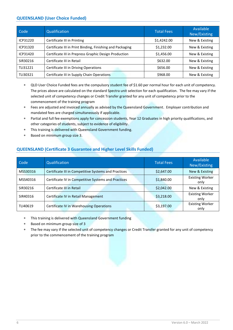## **QUEENSLAND (User Choice Funded)**

| Code     | Qualification                                             | <b>Total Fees</b> | Available<br>New/Existing |
|----------|-----------------------------------------------------------|-------------------|---------------------------|
| ICP31220 | Certificate III in Printing                               | \$1,4242.00       | New & Existing            |
| ICP31320 | Certificate III in Print Binding, Finishing and Packaging | \$1,232.00        | New & Existing            |
| ICP31420 | Certificate III in Prepress Graphic Design Production     | \$1,456.00        | New & Existing            |
| SIR30216 | Certificate III in Retail                                 | \$632.00          | New & Existing            |
| TLI31221 | Certificate III in Driving Operations                     | \$656.00          | New & Existing            |
| TLI30321 | Certificate III in Supply Chain Operations                | \$968.00          | New & Existing            |

- QLD User Choice Funded fees are the compulsory student fee of \$1.60 per normal hour for each unit of competency. The prices above are calculated on the standard Spectra unit selection for each qualification. The fee may vary if the selected unit of competency changes or Credit Transfer granted for any unit of competency prior to the commencement of the training program
- Fees are adjusted and invoiced annually as advised by the Queensland Government. Employer contribution and mandated fees are charged simultaneously if applicable.
- Partial and full fee exemptions apply for concession students, Year 12 Graduates in high priority qualifications, and other categories of students, subject to evidence of eligibility.
- This training is delivered with Queensland Government funding.
- Based on minimum group size 3.

## **QUEENSLAND (Certificate 3 Guarantee and Higher Level Skills Funded)**

| Code     | Qualification                                        | <b>Total Fees</b> | Available<br>New/Existing      |
|----------|------------------------------------------------------|-------------------|--------------------------------|
| MSS30316 | Certificate III in Competitive Systems and Practices | \$2,647.00        | New & Existing                 |
| MSS40316 | Certificate IV in Competitive Systems and Practices  | \$1,840.00        | <b>Existing Worker</b><br>only |
| SIR30216 | Certificate III in Retail                            | \$2,042.00        | New & Existing                 |
| SIR40316 | Certificate IV in Retail Management                  | \$3,218.00        | <b>Existing Worker</b><br>only |
| TLI40619 | <b>Certificate IV in Warehousing Operations</b>      | \$3,197.00        | <b>Existing Worker</b><br>only |

- This training is delivered with Queensland Government funding
- Based on minimum group size of 3
- The fee may vary if the selected unit of competency changes or Credit Transfer granted for any unit of competency prior to the commencement of the training program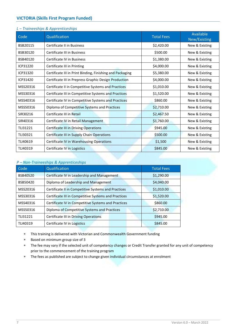# **VICTORIA (Skills First Program Funded)**

|  | L - Traineeships & Apprenticeships |  |  |  |
|--|------------------------------------|--|--|--|
|--|------------------------------------|--|--|--|

| Code     | Qualification                                             | <b>Total Fees</b> | Available<br>New/Existing |
|----------|-----------------------------------------------------------|-------------------|---------------------------|
| BSB20115 | Certificate II in Business                                | \$2,420.00        | New & Existing            |
| BSB30120 | Certificate III in Business                               | \$500.00          | New & Existing            |
| BSB40120 | Certificate IV in Business                                | \$1,380.00        | New & Existing            |
| ICP31220 | Certificate III in Printing                               | \$4,000.00        | New & Existing            |
| ICP31320 | Certificate III in Print Binding, Finishing and Packaging | \$5,380.00        | New & Existing            |
| ICP31420 | Certificate III in Prepress Graphic Design Production     | \$4,000.00        | New & Existing            |
| MSS20316 | Certificate II in Competitive Systems and Practices       | \$1,010.00        | New & Existing            |
| MSS30316 | Certificate III in Competitive Systems and Practices      | \$1,520.00        | New & Existing            |
| MSS40316 | Certificate IV in Competitive Systems and Practices       | \$860.00          | New & Existing            |
| MSS50316 | Diploma of Competitive Systems and Practices              | \$2,710.00        | New & Existing            |
| SIR30216 | Certificate III in Retail                                 | \$2,467.50        | New & Existing            |
| SIR40316 | Certificate IV in Retail Management                       | \$1,760.00        | New & Existing            |
| TLI31221 | <b>Certificate III in Driving Operations</b>              | \$945.00          | New & Existing            |
| TLI30321 | Certificate III in Supply Chain Operations                | \$500.00          | New & Existing            |
| TLI40619 | <b>Certificate IV in Warehousing Operations</b>           | \$1,500           | New & Existing            |
| TLI40319 | Certificate IV in Logistics                               | \$845.00          | New & Existing            |

## *P – Non-Traineeships & Apprenticeships*

| Code     | Qualification                                        | <b>Total Fees</b> |
|----------|------------------------------------------------------|-------------------|
| BSB40520 | Certificate IV in Leadership and Management          | \$1,290.00        |
| BSB50420 | Diploma of Leadership and Management                 | \$4,040.00        |
| MSS20316 | Certificate II in Competitive Systems and Practices  | \$1,010.00        |
| MSS30316 | Certificate III in Competitive Systems and Practices | \$1,520.00        |
| MSS40316 | Certificate IV in Competitive Systems and Practices  | \$860.00          |
| MSS50316 | Diploma of Competitive Systems and Practices         | \$2,710.00        |
| TLI31221 | Certificate III in Driving Operations                | \$945.00          |
| TLI40319 | Certificate IV in Logistics                          | \$845.00          |

- This training is delivered with Victorian and Commonwealth Government funding
- Based on minimum group size of 3
- \* The fee may vary if the selected unit of competency changes or Credit Transfer granted for any unit of competency prior to the commencement of the training program
- The fees as published are subject to change given individual circumstances at enrolment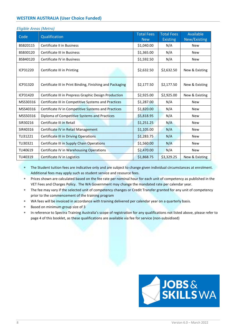# **WESTERN AUSTRALIA (User Choice Funded)**

| Code     | Qualification                                             | <b>Total Fees</b><br><b>New</b> | <b>Total Fees</b><br><b>Existing</b> | Available<br>New/Existing |
|----------|-----------------------------------------------------------|---------------------------------|--------------------------------------|---------------------------|
| BSB20115 | Certificate II in Business                                | \$1,040.00                      | N/A                                  | <b>New</b>                |
| BSB30120 | <b>Certificate III in Business</b>                        | \$1,365.00                      | N/A                                  | <b>New</b>                |
| BSB40120 | Certificate IV in Business                                | \$1,592.50                      | N/A                                  | <b>New</b>                |
| ICP31220 | Certificate III in Printing                               | \$2,632.50                      | \$2,632.50                           | New & Existing            |
| ICP31320 | Certificate III in Print Binding, Finishing and Packaging | \$2,177.50                      | \$2,177.50                           | New & Existing            |
| ICP31420 | Certificate III in Prepress Graphic Design Production     | \$2,925.00                      | \$2,925.00                           | New & Existing            |
| MSS30316 | Certificate III in Competitive Systems and Practices      | \$1,287.00                      | N/A                                  | <b>New</b>                |
| MSS40316 | Certificate IV in Competitive Systems and Practices       | \$1,820.00                      | N/A                                  | <b>New</b>                |
| MSS50316 | Diploma of Competitive Systems and Practices              | \$5,818.95                      | N/A                                  | New                       |
| SIR30216 | Certificate III in Retail                                 | \$1,251.25                      | N/A                                  | <b>New</b>                |
| SIR40316 | Certificate IV in Retail Management                       | \$1,105.00                      | N/A                                  | <b>New</b>                |
| TLI31221 | <b>Certificate III in Driving Operations</b>              | \$1,283.75                      | N/A                                  | <b>New</b>                |
| TLI30321 | Certificate III in Supply Chain Operations                | \$1,560.00                      | N/A                                  | <b>New</b>                |
| TLI40619 | Certificate IV in Warehousing Operations                  | \$2,470.00                      | N/A                                  | <b>New</b>                |
| TLI40319 | Certificate IV in Logistics                               | \$1,868.75                      | \$3,329.25                           | New & Existing            |

#### *Eligible Areas (Metro)*

\* The Student tuition fees are indicative only and are subject to change given individual circumstances at enrolment. Additional fees may apply such as student service and resource fees.

 Prices shown are calculated based on the fee rate per nominal hour for each unit of competency as published in the VET Fees and Charges Policy. The WA Government may change the mandated rate per calendar year.

- The fee may vary if the selected unit of competency changes or Credit Transfer granted for any unit of competency prior to the commencement of the training program
- WA fees will be invoiced in accordance with training delivered per calendar year on a quarterly basis.
- Based on minimum group size of 3
- In reference to Spectra Training Australia's scope of registration for any qualifications not listed above, please refer to page 4 of this booklet, as these qualifications are available via fee for service (non-subsidised)